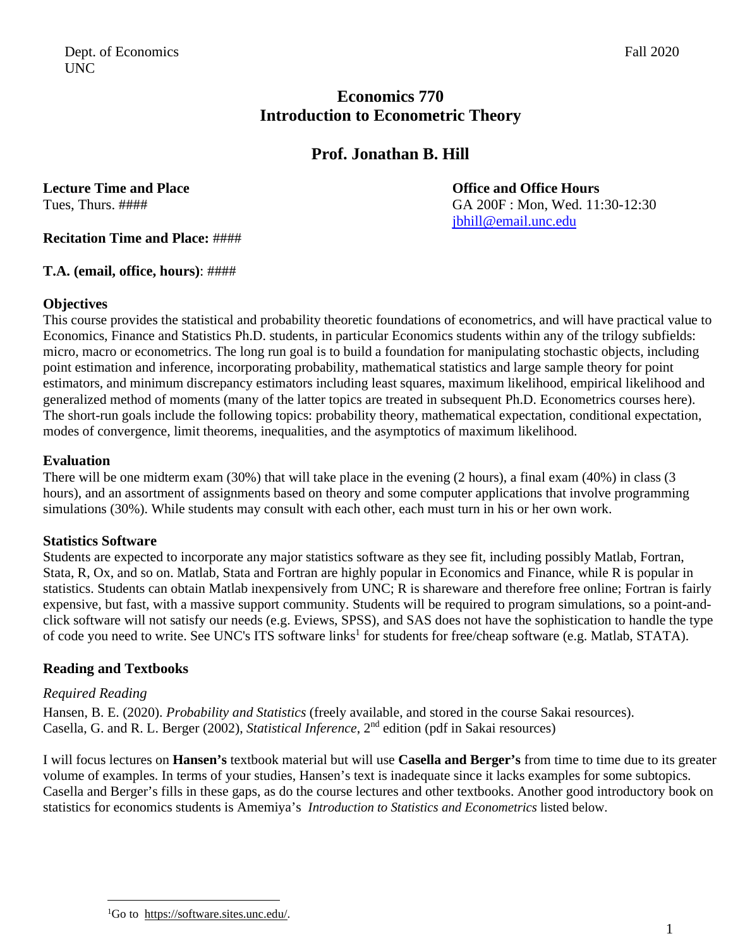## **Economics 770 Introduction to Econometric Theory**

# **Prof. Jonathan B. Hill**

**Lecture Time and Place Server According to the Contract Office and Office Hours** 

Tues, Thurs. #### Tues, Thurs. #### GA 200F : Mon, Wed. 11:30-12:30 jbhill@email.unc.edu

**Recitation Time and Place:** ####

**T.A. (email, office, hours)**: ####

### **Objectives**

This course provides the statistical and probability theoretic foundations of econometrics, and will have practical value to Economics, Finance and Statistics Ph.D. students, in particular Economics students within any of the trilogy subfields: micro, macro or econometrics. The long run goal is to build a foundation for manipulating stochastic objects, including point estimation and inference, incorporating probability, mathematical statistics and large sample theory for point estimators, and minimum discrepancy estimators including least squares, maximum likelihood, empirical likelihood and generalized method of moments (many of the latter topics are treated in subsequent Ph.D. Econometrics courses here). The short-run goals include the following topics: probability theory, mathematical expectation, conditional expectation, modes of convergence, limit theorems, inequalities, and the asymptotics of maximum likelihood.

## **Evaluation**

There will be one midterm exam (30%) that will take place in the evening (2 hours), a final exam (40%) in class (3 hours), and an assortment of assignments based on theory and some computer applications that involve programming simulations (30%). While students may consult with each other, each must turn in his or her own work.

### **Statistics Software**

Students are expected to incorporate any major statistics software as they see fit, including possibly Matlab, Fortran, Stata, R, Ox, and so on. Matlab, Stata and Fortran are highly popular in Economics and Finance, while R is popular in statistics. Students can obtain Matlab inexpensively from UNC; R is shareware and therefore free online; Fortran is fairly expensive, but fast, with a massive support community. Students will be required to program simulations, so a point-andclick software will not satisfy our needs (e.g. Eviews, SPSS), and SAS does not have the sophistication to handle the type of code you need to write. See UNC's ITS software links<sup>1</sup> for students for free/cheap software (e.g. Matlab, STATA).

### **Reading and Textbooks**

### *Required Reading*

Hansen, B. E. (2020). *Probability and Statistics* (freely available, and stored in the course Sakai resources). Casella, G. and R. L. Berger (2002), *Statistical Inference*, 2<sup>nd</sup> edition (pdf in Sakai resources)

I will focus lectures on **Hansen's** textbook material but will use **Casella and Berger's** from time to time due to its greater volume of examples. In terms of your studies, Hansen's text is inadequate since it lacks examples for some subtopics. Casella and Berger's fills in these gaps, as do the course lectures and other textbooks. Another good introductory book on statistics for economics students is Amemiya's *Introduction to Statistics and Econometrics* listed below.